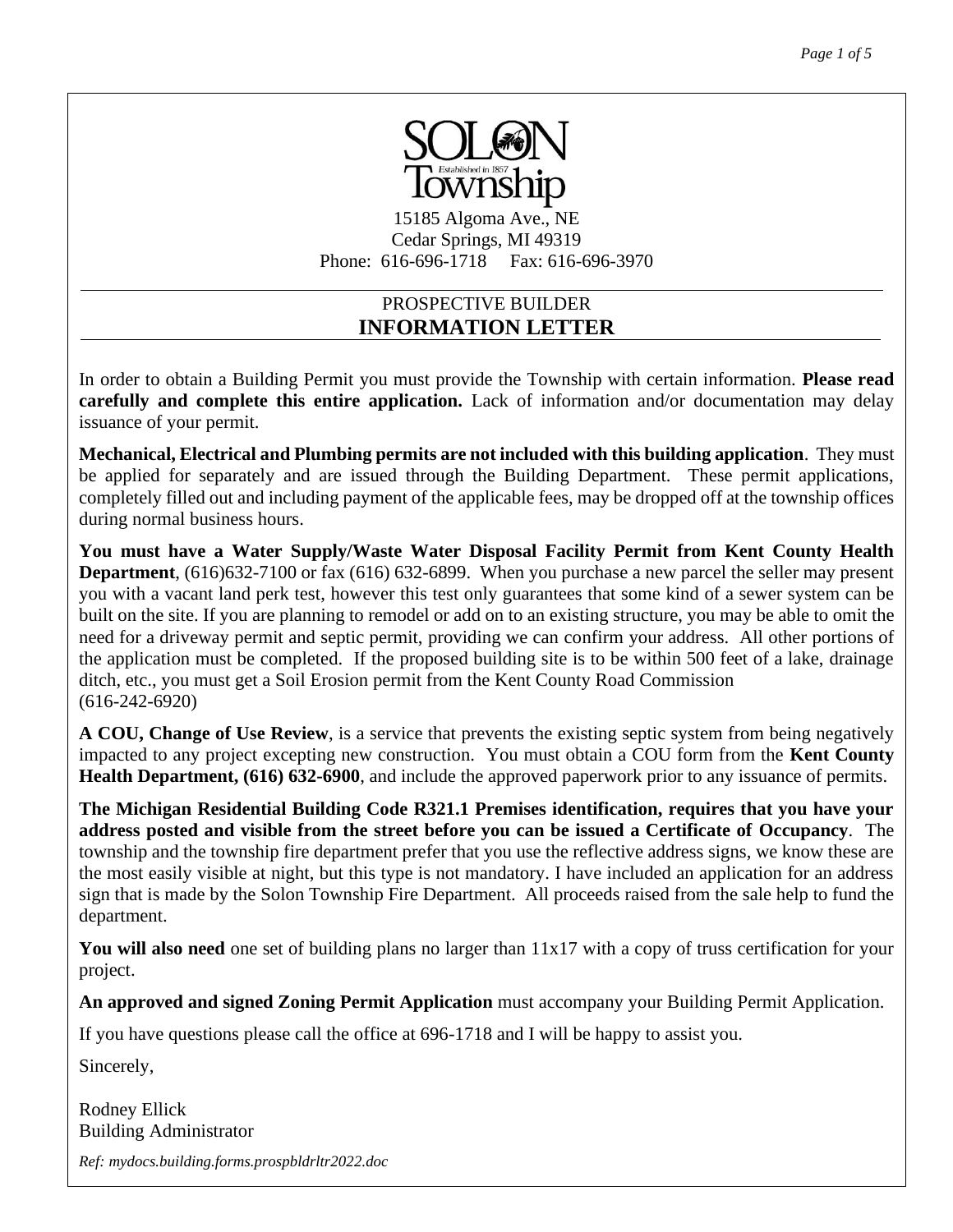

15185 Algoma Ave., NE Cedar Springs, MI 49319 Phone: 616-696-1718 Fax: 616-696-3970

## PROSPECTIVE BUILDER **INFORMATION LETTER**

In order to obtain a Building Permit you must provide the Township with certain information. **Please read carefully and complete this entire application.** Lack of information and/or documentation may delay issuance of your permit.

**Mechanical, Electrical and Plumbing permits are not included with this building application**. They must be applied for separately and are issued through the Building Department. These permit applications, completely filled out and including payment of the applicable fees, may be dropped off at the township offices during normal business hours.

**You must have a Water Supply/Waste Water Disposal Facility Permit from Kent County Health Department**, (616)632-7100 or fax (616) 632-6899. When you purchase a new parcel the seller may present you with a vacant land perk test, however this test only guarantees that some kind of a sewer system can be built on the site. If you are planning to remodel or add on to an existing structure, you may be able to omit the need for a driveway permit and septic permit, providing we can confirm your address. All other portions of the application must be completed. If the proposed building site is to be within 500 feet of a lake, drainage ditch, etc., you must get a Soil Erosion permit from the Kent County Road Commission (616-242-6920)

**A COU, Change of Use Review**, is a service that prevents the existing septic system from being negatively impacted to any project excepting new construction. You must obtain a COU form from the **Kent County Health Department, (616) 632-6900**, and include the approved paperwork prior to any issuance of permits.

**The Michigan Residential Building Code R321.1 Premises identification, requires that you have your address posted and visible from the street before you can be issued a Certificate of Occupancy**. The township and the township fire department prefer that you use the reflective address signs, we know these are the most easily visible at night, but this type is not mandatory. I have included an application for an address sign that is made by the Solon Township Fire Department. All proceeds raised from the sale help to fund the department.

You will also need one set of building plans no larger than  $11x17$  with a copy of truss certification for your project.  $\frac{1}{2}$ 

**An approved and signed Zoning Permit Application** must accompany your Building Permit Application.

If you have questions please call the office at 696-1718 and I will be happy to assist you.

Sincerely,

Rodney Ellick Building Administrator

*Ref: mydocs.building.forms.prospbldrltr2022.doc*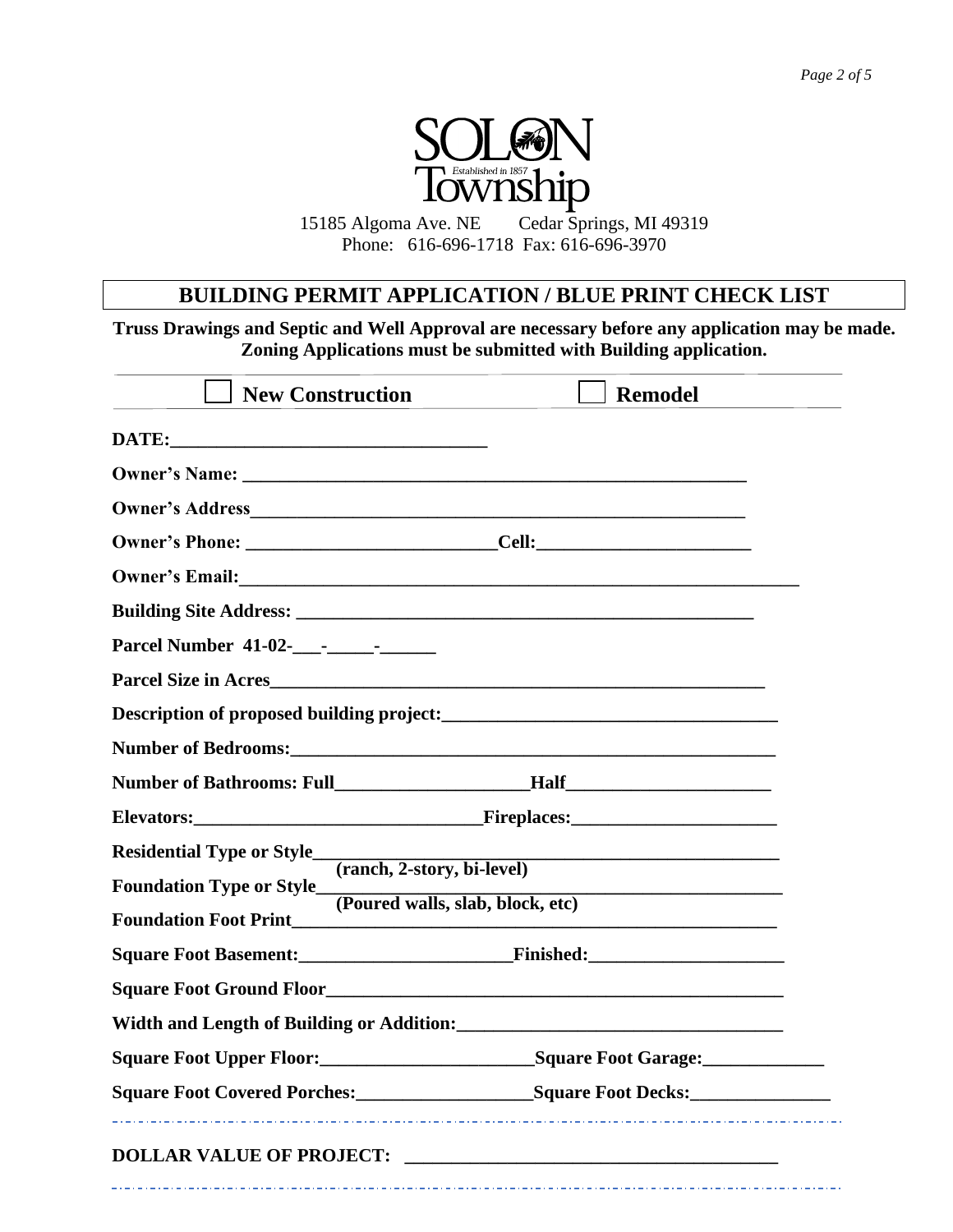

15185 Algoma Ave. NE Cedar Springs, MI 49319 Phone: 616-696-1718 Fax: 616-696-3970

## **BUILDING PERMIT APPLICATION / BLUE PRINT CHECK LIST**

**Truss Drawings and Septic and Well Approval are necessary before any application may be made. Zoning Applications must be submitted with Building application.**

| <b>New Construction</b>         | <b>Remodel</b>                                               |
|---------------------------------|--------------------------------------------------------------|
|                                 |                                                              |
|                                 |                                                              |
| Owner's Address                 |                                                              |
|                                 |                                                              |
|                                 |                                                              |
|                                 |                                                              |
|                                 |                                                              |
|                                 |                                                              |
|                                 |                                                              |
|                                 |                                                              |
|                                 |                                                              |
|                                 |                                                              |
|                                 | Residential Type or Style<br>(ranch, 2-story, bi-level)      |
|                                 | Foundation Type or Style<br>(Poured walls, slab, block, etc) |
| <b>Foundation Foot Print</b>    |                                                              |
|                                 |                                                              |
|                                 |                                                              |
|                                 |                                                              |
| <b>Square Foot Upper Floor:</b> | <b>Square Foot Garage:</b>                                   |
|                                 | Square Foot Covered Porches:<br><u>Square Foot Decks:</u>    |
|                                 |                                                              |
|                                 |                                                              |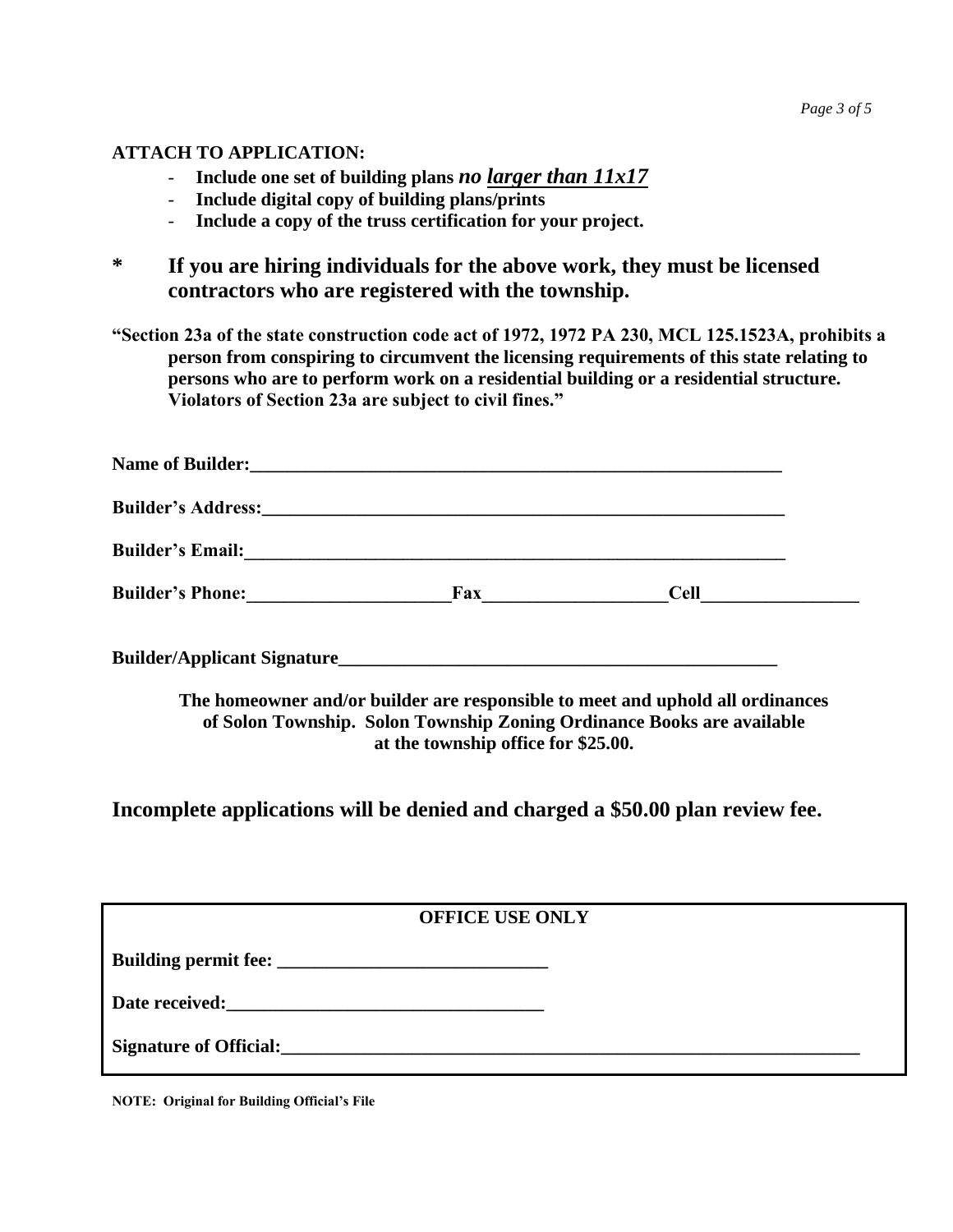## **ATTACH TO APPLICATION:**

- **Include one set of building plans** *no larger than 11x17*
- **Include digital copy of building plans/prints**
- **Include a copy of the truss certification for your project.**
- **\* If you are hiring individuals for the above work, they must be licensed contractors who are registered with the township.**

**"Section 23a of the state construction code act of 1972, 1972 PA 230, MCL 125.1523A, prohibits a person from conspiring to circumvent the licensing requirements of this state relating to persons who are to perform work on a residential building or a residential structure. Violators of Section 23a are subject to civil fines."**

| <b>Name of Builder:</b>                                                                                                                                                                                                             | <u> 1989 - John Stein, september 1989 - John Stein, september 1989 - John Stein, september 1989 - John Stein, sep</u> |             |  |
|-------------------------------------------------------------------------------------------------------------------------------------------------------------------------------------------------------------------------------------|-----------------------------------------------------------------------------------------------------------------------|-------------|--|
| <b>Builder's Address:</b> The state of the state of the state of the state of the state of the state of the state of the state of the state of the state of the state of the state of the state of the state of the state of the st |                                                                                                                       |             |  |
| <b>Builder's Email:</b>                                                                                                                                                                                                             |                                                                                                                       |             |  |
| <b>Builder's Phone:</b>                                                                                                                                                                                                             | Fax                                                                                                                   | <b>Cell</b> |  |

**Builder/Applicant Signature\_\_\_\_\_\_\_\_\_\_\_\_\_\_\_\_\_\_\_\_\_\_\_\_\_\_\_\_\_\_\_\_\_\_\_\_\_\_\_\_\_\_\_\_\_\_\_**

**The homeowner and/or builder are responsible to meet and uphold all ordinances of Solon Township. Solon Township Zoning Ordinance Books are available at the township office for \$25.00.**

**Incomplete applications will be denied and charged a \$50.00 plan review fee.**

| <b>OFFICE USE ONLY</b> |
|------------------------|
|                        |
|                        |
|                        |

**NOTE: Original for Building Official's File**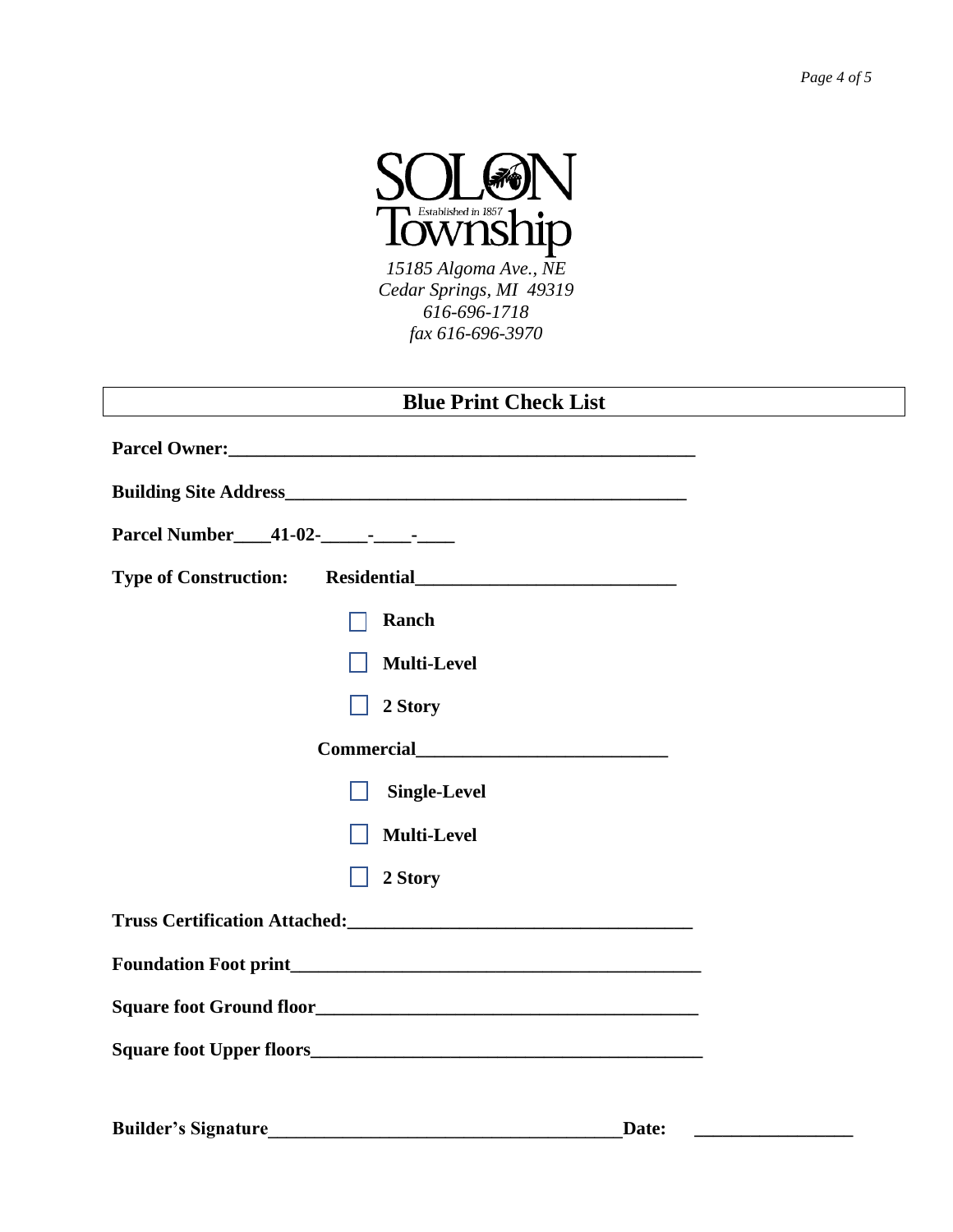

*15185 Algoma Ave., NE Cedar Springs, MI 49319 616-696-1718 fax 616-696-3970*

| <b>Blue Print Check List</b>        |  |  |
|-------------------------------------|--|--|
|                                     |  |  |
|                                     |  |  |
|                                     |  |  |
|                                     |  |  |
| Ranch                               |  |  |
| <b>Multi-Level</b>                  |  |  |
| 2 Story                             |  |  |
|                                     |  |  |
| <b>Single-Level</b>                 |  |  |
| <b>Multi-Level</b>                  |  |  |
| 2 Story                             |  |  |
|                                     |  |  |
|                                     |  |  |
|                                     |  |  |
|                                     |  |  |
|                                     |  |  |
| <b>Builder's Signature</b><br>Date: |  |  |